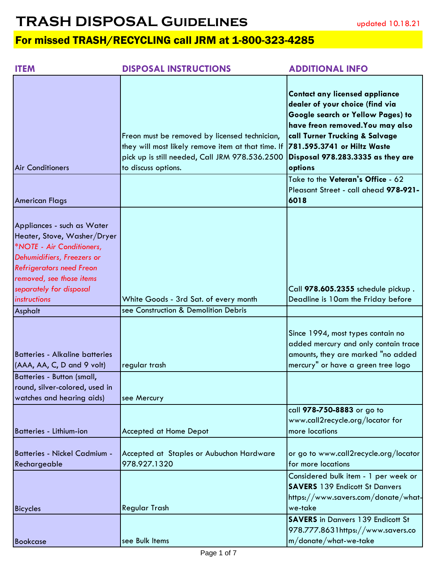| <b>ITEM</b>                                                                                                                                                                                                                    | <b>DISPOSAL INSTRUCTIONS</b>                                                                                                                                                 | <b>ADDITIONAL INFO</b>                                                                                                                                                                                                                                             |
|--------------------------------------------------------------------------------------------------------------------------------------------------------------------------------------------------------------------------------|------------------------------------------------------------------------------------------------------------------------------------------------------------------------------|--------------------------------------------------------------------------------------------------------------------------------------------------------------------------------------------------------------------------------------------------------------------|
| <b>Air Conditioners</b>                                                                                                                                                                                                        | Freon must be removed by licensed technician,<br>they will most likely remove item at that time. If<br>pick up is still needed, Call JRM 978.536.2500<br>to discuss options. | <b>Contact any licensed appliance</b><br>dealer of your choice (find via<br>Google search or Yellow Pages) to<br>have freon removed. You may also<br>call Turner Trucking & Salvage<br>781.595.3741 or Hiltz Waste<br>Disposal 978.283.3335 as they are<br>options |
| <b>American Flags</b>                                                                                                                                                                                                          |                                                                                                                                                                              | Take to the Veteran's Office - 62<br>Pleasant Street - call ahead 978-921-<br>6018                                                                                                                                                                                 |
| Appliances - such as Water<br>Heater, Stove, Washer/Dryer<br>*NOTE - Air Conditioners,<br>Dehumidifiers, Freezers or<br><b>Refrigerators need Freon</b><br>removed, see those items<br>separately for disposal<br>instructions | White Goods - 3rd Sat. of every month                                                                                                                                        | Call 978.605.2355 schedule pickup.<br>Deadline is 10am the Friday before                                                                                                                                                                                           |
| Asphalt                                                                                                                                                                                                                        | see Construction & Demolition Debris                                                                                                                                         |                                                                                                                                                                                                                                                                    |
| <b>Batteries - Alkaline batteries</b><br>(AAA, AA, C, D and 9 volt)<br>Batteries - Button (small,                                                                                                                              | regular trash                                                                                                                                                                | Since 1994, most types contain no<br>added mercury and only contain trace<br>amounts, they are marked "no added<br>mercury" or have a green tree logo                                                                                                              |
| round, silver-colored, used in<br>watches and hearing aids)                                                                                                                                                                    | see Mercury                                                                                                                                                                  |                                                                                                                                                                                                                                                                    |
| <b>Batteries - Lithium-ion</b>                                                                                                                                                                                                 | <b>Accepted at Home Depot</b>                                                                                                                                                | call 978-750-8883 or go to<br>www.call2recycle.org/locator for<br>more locations                                                                                                                                                                                   |
| <b>Batteries - Nickel Cadmium -</b><br>Rechargeable                                                                                                                                                                            | Accepted at Staples or Aubuchon Hardware<br>978.927.1320                                                                                                                     | or go to www.call2recycle.org/locator<br>for more locations                                                                                                                                                                                                        |
| <b>Bicycles</b>                                                                                                                                                                                                                | <b>Regular Trash</b>                                                                                                                                                         | Considered bulk item - 1 per week or<br><b>SAVERS</b> 139 Endicott St Danvers<br>https://www.savers.com/donate/what-<br>we-take<br><b>SAVERS</b> in Danvers 139 Endicott St<br>978.777.8631https://www.savers.co                                                   |
| <b>Bookcase</b>                                                                                                                                                                                                                | see Bulk Items                                                                                                                                                               | $m/d$ onate/what-we-take                                                                                                                                                                                                                                           |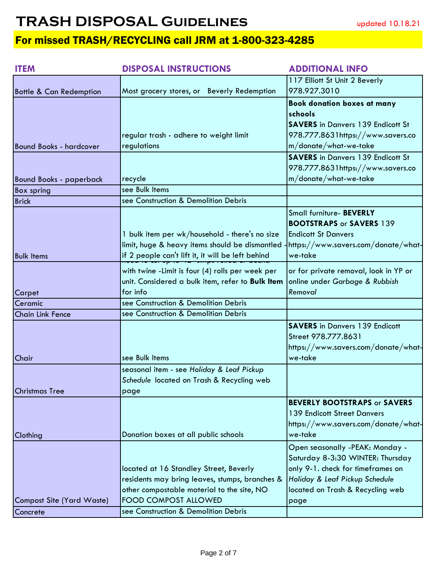| <b>ITEM</b>                        | <b>DISPOSAL INSTRUCTIONS</b>                      | <b>ADDITIONAL INFO</b>                   |
|------------------------------------|---------------------------------------------------|------------------------------------------|
|                                    |                                                   | 117 Elliott St Unit 2 Beverly            |
| <b>Bottle &amp; Can Redemption</b> | Most grocery stores, or Beverly Redemption        | 978.927.3010                             |
|                                    |                                                   | <b>Book donation boxes at many</b>       |
|                                    |                                                   | schools                                  |
|                                    |                                                   | <b>SAVERS</b> in Danvers 139 Endicott St |
|                                    | regular trash - adhere to weight limit            | 978.777.8631https://www.savers.co        |
| <b>Bound Books - hardcover</b>     | regulations                                       | m/donate/what-we-take                    |
|                                    |                                                   | <b>SAVERS</b> in Danvers 139 Endicott St |
|                                    |                                                   | 978.777.8631https://www.savers.co        |
| <b>Bound Books - paperback</b>     | recycle                                           | $m/d$ onate/what-we-take                 |
| <b>Box spring</b>                  | see Bulk Items                                    |                                          |
| <b>Brick</b>                       | see Construction & Demolition Debris              |                                          |
|                                    |                                                   | Small furniture- BEVERLY                 |
|                                    |                                                   | <b>BOOTSTRAPS or SAVERS 139</b>          |
|                                    | 1 bulk item per wk/household - there's no size    | <b>Endicott St Danvers</b>               |
|                                    | limit, huge & heavy items should be dismantled    | -https://www.savers.com/donate/what-     |
| <b>Bulk Items</b>                  | if 2 people can't lift it, it will be left behind | we-take                                  |
|                                    | with twine -Limit is four (4) rolls per week per  | or for private removal, look in YP or    |
|                                    | unit. Considered a bulk item, refer to Bulk Item  | online under Garbage & Rubbish           |
| Carpet                             | for info                                          | Removal                                  |
| Ceramic                            | see Construction & Demolition Debris              |                                          |
| <b>Chain Link Fence</b>            | see Construction & Demolition Debris              |                                          |
|                                    |                                                   | <b>SAVERS</b> in Danvers 139 Endicott    |
|                                    |                                                   | Street 978.777.8631                      |
|                                    |                                                   | https://www.savers.com/donate/what-      |
| Chair                              | see Bulk Items                                    | we-take                                  |
|                                    | seasonal item - see Holiday & Leaf Pickup         |                                          |
|                                    | Schedule located on Trash & Recycling web         |                                          |
| <b>Christmas Tree</b>              | page                                              |                                          |
|                                    |                                                   | <b>BEVERLY BOOTSTRAPS or SAVERS</b>      |
|                                    |                                                   | 139 Endicott Street Danvers              |
|                                    |                                                   | https://www.savers.com/donate/what-      |
| Clothing                           | Donation boxes at all public schools              | we-take                                  |
|                                    |                                                   | Open seasonally -PEAK: Monday -          |
|                                    |                                                   | Saturday 8-3:30 WINTER: Thursday         |
|                                    | located at 16 Standley Street, Beverly            | only 9-1. check for timeframes on        |
|                                    | residents may bring leaves, stumps, branches &    | Holiday & Leaf Pickup Schedule           |
|                                    | other compostable material to the site, NO        | located on Trash & Recycling web         |
| <b>Compost Site (Yard Waste)</b>   | <b>FOOD COMPOST ALLOWED</b>                       | page                                     |
| Concrete                           | see Construction & Demolition Debris              |                                          |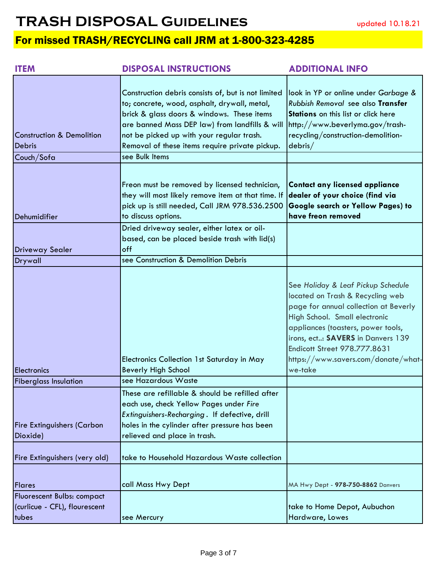| <b>ITEM</b>                                                                 | <b>DISPOSAL INSTRUCTIONS</b>                                                                                                                                                                                                                                                                                         | <b>ADDITIONAL INFO</b>                                                                                                                                                                                                                                                                                               |
|-----------------------------------------------------------------------------|----------------------------------------------------------------------------------------------------------------------------------------------------------------------------------------------------------------------------------------------------------------------------------------------------------------------|----------------------------------------------------------------------------------------------------------------------------------------------------------------------------------------------------------------------------------------------------------------------------------------------------------------------|
| <b>Construction &amp; Demolition</b><br><b>Debris</b><br>Couch/Sofa         | Construction debris consists of, but is not limited<br>to; concrete, wood, asphalt, drywall, metal,<br>brick & glass doors & windows. These items<br>are banned Mass DEP law) from landfills & will<br>not be picked up with your regular trash.<br>Removal of these items require private pickup.<br>see Bulk Items | look in YP or online under Garbage &<br>Rubbish Removal see also Transfer<br>Stations on this list or click here<br>http://www.beverlyma.gov/trash-<br>recycling/construction-demolition-<br>debris/                                                                                                                 |
| Dehumidifier                                                                | Freon must be removed by licensed technician,<br>they will most likely remove item at that time. If<br>pick up is still needed, Call JRM 978.536.2500<br>to discuss options.<br>Dried driveway sealer, either latex or oil-                                                                                          | <b>Contact any licensed appliance</b><br>dealer of your choice (find via<br>Google search or Yellow Pages) to<br>have freon removed                                                                                                                                                                                  |
| <b>Driveway Sealer</b>                                                      | based, can be placed beside trash with lid(s)<br>off                                                                                                                                                                                                                                                                 |                                                                                                                                                                                                                                                                                                                      |
| Drywall                                                                     | see Construction & Demolition Debris                                                                                                                                                                                                                                                                                 |                                                                                                                                                                                                                                                                                                                      |
| Electronics                                                                 | Electronics Collection 1st Saturday in May<br><b>Beverly High School</b>                                                                                                                                                                                                                                             | See Holiday & Leaf Pickup Schedule<br>located on Trash & Recycling web<br>page for annual collection at Beverly<br>High School. Small electronic<br>appliances (toasters, power tools,<br>irons, ect: SAVERS in Danvers 139<br><b>Endicott Street 978.777.8631</b><br>https://www.savers.com/donate/what-<br>we-take |
| <b>Fiberglass Insulation</b>                                                | see Hazardous Waste                                                                                                                                                                                                                                                                                                  |                                                                                                                                                                                                                                                                                                                      |
| <b>Fire Extinguishers (Carbon</b><br>Dioxide)                               | These are refillable & should be refilled after<br>each use, check Yellow Pages under Fire<br>Extinguishers-Recharging. If defective, drill<br>holes in the cylinder after pressure has been<br>relieved and place in trash.                                                                                         |                                                                                                                                                                                                                                                                                                                      |
| Fire Extinguishers (very old)                                               | take to Household Hazardous Waste collection                                                                                                                                                                                                                                                                         |                                                                                                                                                                                                                                                                                                                      |
| <b>Flares</b>                                                               | call Mass Hwy Dept                                                                                                                                                                                                                                                                                                   | MA Hwy Dept - 978-750-8862 Danvers                                                                                                                                                                                                                                                                                   |
| <b>Fluorescent Bulbs: compact</b><br>(curlicue - CFL), flourescent<br>tubes | see Mercury                                                                                                                                                                                                                                                                                                          | take to Home Depot, Aubuchon<br>Hardware, Lowes                                                                                                                                                                                                                                                                      |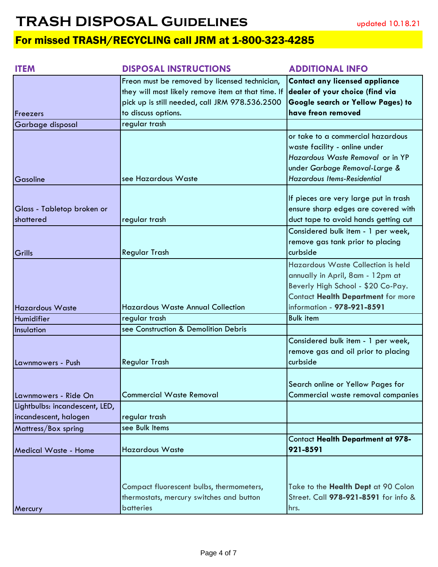| <b>ITEM</b>                    | <b>DISPOSAL INSTRUCTIONS</b>                       | <b>ADDITIONAL INFO</b>                   |
|--------------------------------|----------------------------------------------------|------------------------------------------|
|                                | Freon must be removed by licensed technician,      | <b>Contact any licensed appliance</b>    |
|                                | they will most likely remove item at that time. If | dealer of your choice (find via          |
|                                | pick up is still needed, call JRM 978.536.2500     | <b>Google search or Yellow Pages) to</b> |
| <b>Freezers</b>                | to discuss options.                                | have freon removed                       |
| Garbage disposal               | regular trash                                      |                                          |
|                                |                                                    | or take to a commercial hazardous        |
|                                |                                                    | waste facility - online under            |
|                                |                                                    | Hazardous Waste Removal or in YP         |
|                                |                                                    | under Garbage Removal-Large &            |
| Gasoline                       | see Hazardous Waste                                | <b>Hazardous Items-Residential</b>       |
|                                |                                                    |                                          |
|                                |                                                    | If pieces are very large put in trash    |
| Glass - Tabletop broken or     |                                                    | ensure sharp edges are covered with      |
| shattered                      | regular trash                                      | duct tape to avoid hands getting cut     |
|                                |                                                    | Considered bulk item - 1 per week,       |
|                                |                                                    | remove gas tank prior to placing         |
| Grills                         | <b>Regular Trash</b>                               | curbside                                 |
|                                |                                                    | Hazardous Waste Collection is held       |
|                                |                                                    | annually in April, 8am - 12pm at         |
|                                |                                                    | Beverly High School - \$20 Co-Pay.       |
|                                |                                                    | Contact Health Department for more       |
| <b>Hazardous Waste</b>         | <b>Hazardous Waste Annual Collection</b>           | information - 978-921-8591               |
| Humidifier                     | regular trash                                      | <b>Bulk item</b>                         |
| Insulation                     | see Construction & Demolition Debris               |                                          |
|                                |                                                    | Considered bulk item - 1 per week,       |
|                                |                                                    | remove gas and oil prior to placing      |
| Lawnmowers - Push              | <b>Regular Trash</b>                               | curbside                                 |
|                                |                                                    |                                          |
|                                |                                                    | Search online or Yellow Pages for        |
| Lawnmowers - Ride On           | <b>Commercial Waste Removal</b>                    | Commercial waste removal companies       |
| Lightbulbs: incandescent, LED, |                                                    |                                          |
| incandescent, halogen          | regular trash                                      |                                          |
| Mattress/Box spring            | see Bulk Items                                     |                                          |
|                                |                                                    | <b>Contact Health Department at 978-</b> |
| Medical Waste - Home           | <b>Hazardous Waste</b>                             | 921-8591                                 |
|                                |                                                    |                                          |
|                                |                                                    |                                          |
|                                | Compact fluorescent bulbs, thermometers,           | Take to the Health Dept at 90 Colon      |
|                                | thermostats, mercury switches and button           | Street. Call 978-921-8591 for info &     |
| Mercury                        | batteries                                          | hrs.                                     |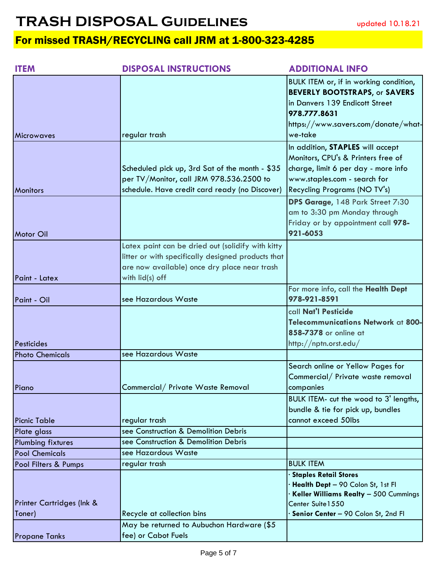| <b>ITEM</b>                             | <b>DISPOSAL INSTRUCTIONS</b>                                                                                                                                               | <b>ADDITIONAL INFO</b>                                                                                                                                                               |
|-----------------------------------------|----------------------------------------------------------------------------------------------------------------------------------------------------------------------------|--------------------------------------------------------------------------------------------------------------------------------------------------------------------------------------|
|                                         |                                                                                                                                                                            | BULK ITEM or, if in working condition,<br><b>BEVERLY BOOTSTRAPS, or SAVERS</b><br>in Danvers 139 Endicott Street<br>978.777.8631<br>https://www.savers.com/donate/what-<br>we-take   |
| <b>Microwaves</b>                       | regular trash                                                                                                                                                              |                                                                                                                                                                                      |
| <b>Monitors</b>                         | Scheduled pick up, 3rd Sat of the month - \$35<br>per TV/Monitor, call JRM 978.536.2500 to<br>schedule. Have credit card ready (no Discover)                               | In addition, STAPLES will accept<br>Monitors, CPU's & Printers free of<br>charge, limit 6 per day - more info<br>www.staples.com - search for<br><b>Recycling Programs (NO TV's)</b> |
| <b>Motor Oil</b>                        |                                                                                                                                                                            | DPS Garage, 148 Park Street 7:30<br>am to 3:30 pm Monday through<br>Friday or by appointment call 978-<br>921-6053                                                                   |
| Paint - Latex                           | Latex paint can be dried out (solidify with kitty<br>litter or with specifically designed products that<br>are now available) once dry place near trash<br>with lid(s) off |                                                                                                                                                                                      |
| Paint - Oil                             | see Hazardous Waste                                                                                                                                                        | For more info, call the Health Dept<br>978-921-8591                                                                                                                                  |
| Pesticides                              |                                                                                                                                                                            | call Nat'l Pesticide<br>Telecommunications Network at 800-<br>858-7378 or online at<br>http://nptn.orst.edu/                                                                         |
| <b>Photo Chemicals</b>                  | see Hazardous Waste                                                                                                                                                        |                                                                                                                                                                                      |
| Piano                                   | Commercial/ Private Waste Removal                                                                                                                                          | Search online or Yellow Pages for<br>Commercial/ Private waste removal<br>companies                                                                                                  |
|                                         |                                                                                                                                                                            | BULK ITEM- cut the wood to 3' lengths,<br>bundle & tie for pick up, bundles                                                                                                          |
| <b>Picnic Table</b>                     | regular trash                                                                                                                                                              | cannot exceed 50lbs                                                                                                                                                                  |
| Plate glass<br><b>Plumbing fixtures</b> | see Construction & Demolition Debris<br>see Construction & Demolition Debris                                                                                               |                                                                                                                                                                                      |
| <b>Pool Chemicals</b>                   | see Hazardous Waste                                                                                                                                                        |                                                                                                                                                                                      |
| Pool Filters & Pumps                    | regular trash                                                                                                                                                              | <b>BULK ITEM</b>                                                                                                                                                                     |
| Printer Cartridges (Ink &<br>Toner)     | Recycle at collection bins                                                                                                                                                 | <b>Staples Retail Stores</b><br>Health Dept - 90 Colon St, 1st Fl<br>Keller Williams Realty - 500 Cummings<br>Center Suite 1550<br>Senior Center - 90 Colon St, 2nd Fl               |
| <b>Propane Tanks</b>                    | May be returned to Aubuchon Hardware (\$5<br>fee) or Cabot Fuels                                                                                                           |                                                                                                                                                                                      |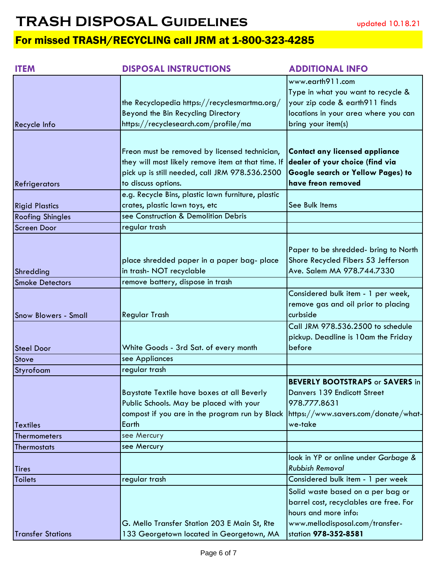| <b>ITEM</b>                 | <b>DISPOSAL INSTRUCTIONS</b>                                                                                                                                                         | <b>ADDITIONAL INFO</b>                                                                                                                                         |
|-----------------------------|--------------------------------------------------------------------------------------------------------------------------------------------------------------------------------------|----------------------------------------------------------------------------------------------------------------------------------------------------------------|
| Recycle Info                | the Recyclopedia https://recyclesmartma.org/<br>Beyond the Bin Recycling Directory<br>https://recyclesearch.com/profile/ma                                                           | www.earth911.com<br>Type in what you want to recycle &<br>your zip code & earth911 finds<br>locations in your area where you can<br>bring your item(s)         |
| Refrigerators               | Freon must be removed by licensed technician,<br>they will most likely remove item at that time. If<br>pick up is still needed, call JRM 978.536.2500<br>to discuss options.         | <b>Contact any licensed appliance</b><br>dealer of your choice (find via<br>Google search or Yellow Pages) to<br>have freon removed                            |
| <b>Rigid Plastics</b>       | e.g. Recycle Bins, plastic lawn furniture, plastic<br>crates, plastic lawn toys, etc                                                                                                 | See Bulk Items                                                                                                                                                 |
| <b>Roofing Shingles</b>     | see Construction & Demolition Debris                                                                                                                                                 |                                                                                                                                                                |
| <b>Screen Door</b>          | regular trash                                                                                                                                                                        |                                                                                                                                                                |
| Shredding                   | place shredded paper in a paper bag- place<br>in trash- NOT recyclable                                                                                                               | Paper to be shredded- bring to North<br>Shore Recycled Fibers 53 Jefferson<br>Ave. Salem MA 978.744.7330                                                       |
| <b>Smoke Detectors</b>      | remove battery, dispose in trash                                                                                                                                                     |                                                                                                                                                                |
| <b>Snow Blowers - Small</b> | Regular Trash                                                                                                                                                                        | Considered bulk item - 1 per week,<br>remove gas and oil prior to placing<br>curbside                                                                          |
| <b>Steel Door</b>           | White Goods - 3rd Sat. of every month                                                                                                                                                | Call JRM 978.536.2500 to schedule<br>pickup. Deadline is 10am the Friday<br>before                                                                             |
| <b>Stove</b>                | see Appliances                                                                                                                                                                       |                                                                                                                                                                |
| Styrofoam                   | regular trash                                                                                                                                                                        |                                                                                                                                                                |
| <b>Textiles</b>             | Baystate Textile have boxes at all Beverly<br>Public Schools. May be placed with your<br>compost if you are in the program run by Black https://www.savers.com/donate/what-<br>Earth | <b>BEVERLY BOOTSTRAPS or SAVERS in</b><br>Danvers 139 Endicott Street<br>978.777.8631<br>we-take                                                               |
| <b>Thermometers</b>         | see Mercury                                                                                                                                                                          |                                                                                                                                                                |
| <b>Thermostats</b>          | see Mercury                                                                                                                                                                          |                                                                                                                                                                |
| <b>Tires</b>                |                                                                                                                                                                                      | look in YP or online under Garbage &<br><b>Rubbish Removal</b>                                                                                                 |
| <b>Toilets</b>              | regular trash                                                                                                                                                                        | Considered bulk item - 1 per week                                                                                                                              |
| <b>Transfer Stations</b>    | G. Mello Transfer Station 203 E Main St, Rte                                                                                                                                         | Solid waste based on a per bag or<br>barrel cost, recyclables are free. For<br>hours and more info:<br>www.mellodisposal.com/transfer-<br>station 978-352-8581 |
|                             | 133 Georgetown located in Georgetown, MA                                                                                                                                             |                                                                                                                                                                |